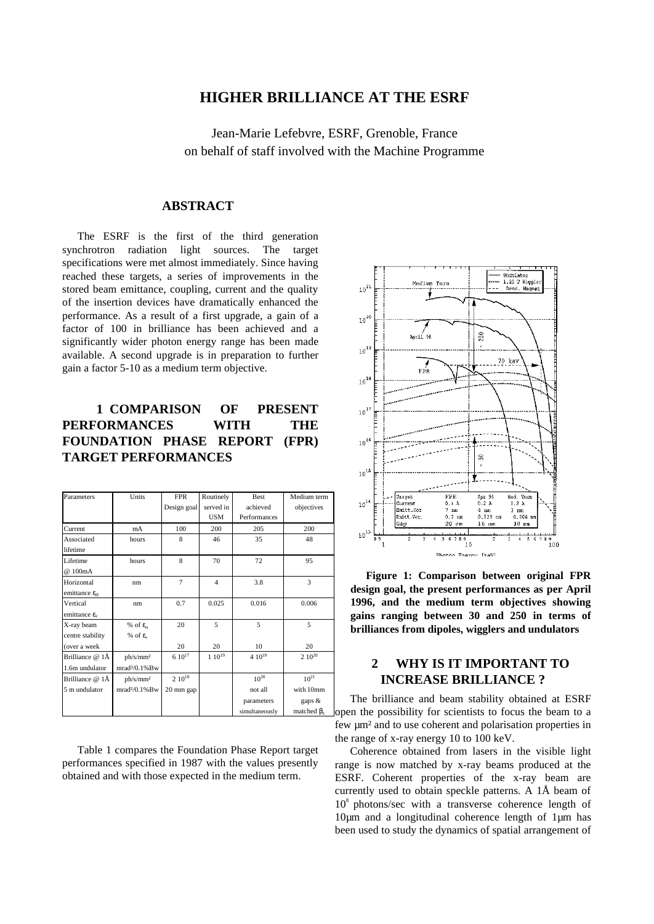## **HIGHER BRILLIANCE AT THE ESRF**

Jean-Marie Lefebvre, ESRF, Grenoble, France on behalf of staff involved with the Machine Programme

## **ABSTRACT**

The ESRF is the first of the third generation synchrotron radiation light sources. The target specifications were met almost immediately. Since having reached these targets, a series of improvements in the stored beam emittance, coupling, current and the quality of the insertion devices have dramatically enhanced the performance. As a result of a first upgrade, a gain of a factor of 100 in brilliance has been achieved and a significantly wider photon energy range has been made available. A second upgrade is in preparation to further gain a factor 5-10 as a medium term objective.

# **1 COMPARISON OF PRESENT PERFORMANCES WITH THE FOUNDATION PHASE REPORT (FPR) TARGET PERFORMANCES**

| Parameters                        | Units                   | <b>FPR</b>     | Routinely      | <b>Best</b>    | Medium term       |
|-----------------------------------|-------------------------|----------------|----------------|----------------|-------------------|
|                                   |                         | Design goal    | served in      | achieved       | objectives        |
|                                   |                         |                | <b>USM</b>     | Performances   |                   |
| Current                           | mA                      | 100            | 200            | 205            | 200               |
| Associated                        | hours                   | 8              | 46             | 35             | 48                |
| lifetime                          |                         |                |                |                |                   |
| Lifetime                          | hours                   | 8              | 70             | 72             | 95                |
| @ 100mA                           |                         |                |                |                |                   |
| Horizontal                        | nm                      | $\overline{7}$ | $\overline{4}$ | 3.8            | 3                 |
| emittance $\varepsilon_{\rm H}$   |                         |                |                |                |                   |
| Vertical                          | nm                      | 0.7            | 0.025          | 0.016          | 0.006             |
| emittance $\epsilon$ <sub>v</sub> |                         |                |                |                |                   |
| X-ray beam                        | % of $\epsilon_{\rm u}$ | 20             | 5              | 5              | 5                 |
| centre stability                  | % of $\varepsilon$ .    |                |                |                |                   |
| (over a week                      |                         | 20             | 20             | 10             | 20                |
| Brilliance @ 1Å                   | ph/s/mm <sup>2</sup>    | $6 10^{17}$    | $1~10^{19}$    | $4~10^{19}$    | $2 10^{20}$       |
| 1.6m undulator                    | $mrad2/0.1%$ Bw         |                |                |                |                   |
| Brilliance @ 1Å                   | ph/s/mm <sup>2</sup>    | $2.10^{18}$    |                | $10^{20}$      | $10^{21}$         |
| 5 m undulator                     | $mrad2/0.1%$ Bw         | 20 mm gap      |                | not all        | with 10mm         |
|                                   |                         |                |                | parameters     | gaps &            |
|                                   |                         |                |                | simultaneously | matched $\beta$ , |

Table 1 compares the Foundation Phase Report target performances specified in 1987 with the values presently obtained and with those expected in the medium term.



**Figure 1: Comparison between original FPR design goal, the present performances as per April 1996, and the medium term objectives showing gains ranging between 30 and 250 in terms of brilliances from dipoles, wigglers and undulators**

## **2 WHY IS IT IMPORTANT TO INCREASE BRILLIANCE ?**

The brilliance and beam stability obtained at ESRF open the possibility for scientists to focus the beam to a few µm² and to use coherent and polarisation properties in the range of x-ray energy 10 to 100 keV.

Coherence obtained from lasers in the visible light range is now matched by x-ray beams produced at the ESRF. Coherent properties of the x-ray beam are currently used to obtain speckle patterns. A 1Å beam of  $10<sup>8</sup>$  photons/sec with a transverse coherence length of 10µm and a longitudinal coherence length of 1µm has been used to study the dynamics of spatial arrangement of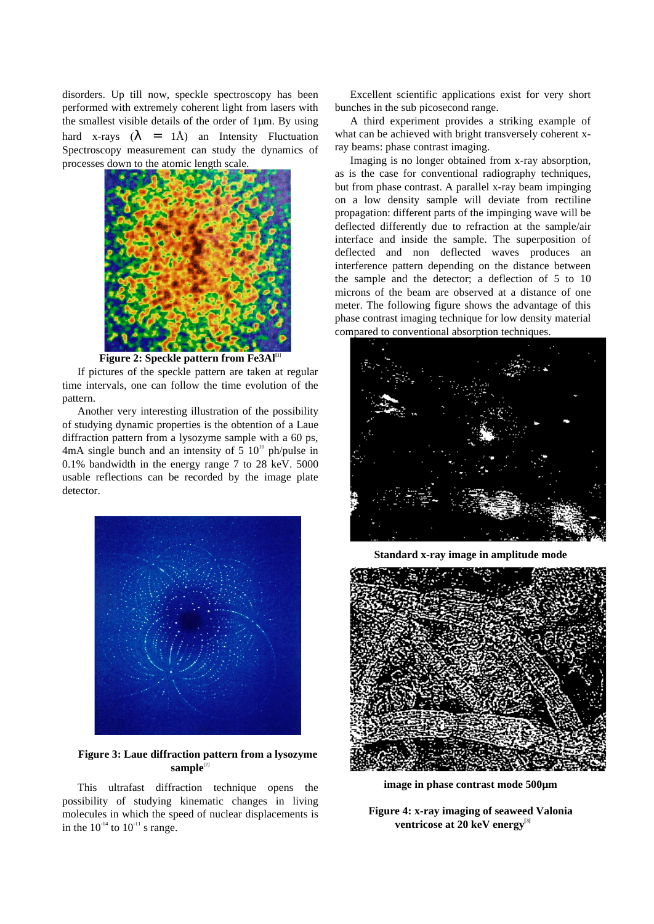disorders. Up till now, speckle spectroscopy has been performed with extremely coherent light from lasers with the smallest visible details of the order of 1µm. By using hard x-rays  $(\lambda = 1\text{\AA})$  an Intensity Fluctuation Spectroscopy measurement can study the dynamics of processes down to the atomic length scale.



Figure 2: Speckle pattern from Fe3Al<sup>11</sup>

If pictures of the speckle pattern are taken at regular time intervals, one can follow the time evolution of the pattern.

Another very interesting illustration of the possibility of studying dynamic properties is the obtention of a Laue diffraction pattern from a lysozyme sample with a 60 ps. 4mA single bunch and an intensity of  $5 \times 10^{10}$  ph/pulse in 0.1% bandwidth in the energy range 7 to 28 keV. 5000 usable reflections can be recorded by the image plate detector.



**Figure 3: Laue diffraction pattern from a lysozyme** sample<sup>[2]</sup>

This ultrafast diffraction technique opens the possibility of studying kinematic changes in living molecules in which the speed of nuclear displacements is in the  $10^{-14}$  to  $10^{-11}$  s range.

Excellent scientific applications exist for very short bunches in the sub picosecond range.

A third experiment provides a striking example of what can be achieved with bright transversely coherent xray beams: phase contrast imaging.

Imaging is no longer obtained from x-ray absorption, as is the case for conventional radiography techniques, but from phase contrast. A parallel x-ray beam impinging on a low density sample will deviate from rectiline propagation: different parts of the impinging wave will be deflected differently due to refraction at the sample/air interface and inside the sample. The superposition of deflected and non deflected waves produces an interference pattern depending on the distance between the sample and the detector; a deflection of 5 to 10 microns of the beam are observed at a distance of one meter. The following figure shows the advantage of this phase contrast imaging technique for low density material compared to conventional absorption techniques.



**Standard x-ray image in amplitude mode**



**image in phase contrast mode 500µm**

**Figure 4: x-ray imaging of seaweed Valonia** ventricose at 20 keV energy<sup>[3]</sup>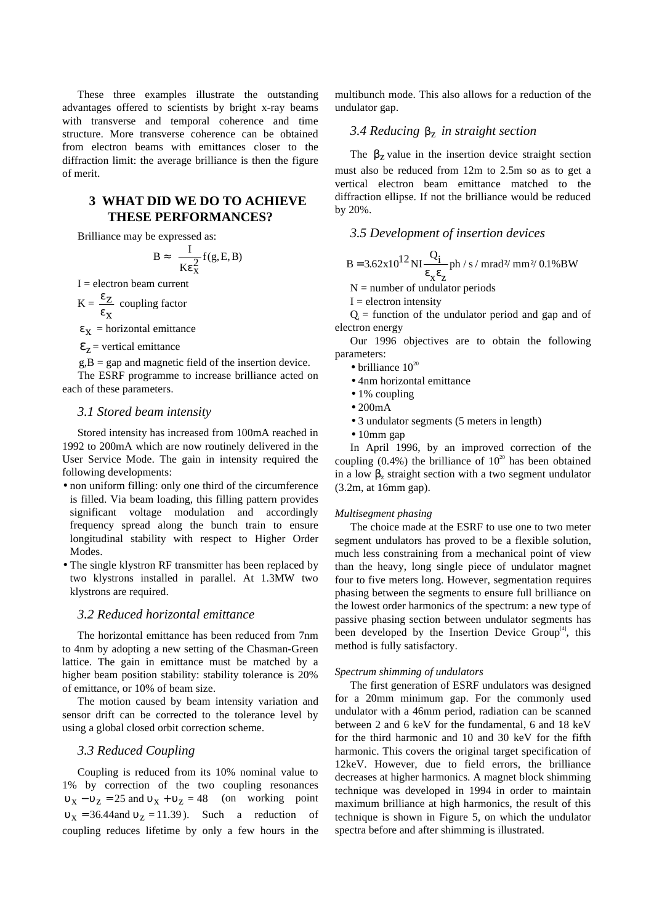These three examples illustrate the outstanding advantages offered to scientists by bright x-ray beams with transverse and temporal coherence and time structure. More transverse coherence can be obtained from electron beams with emittances closer to the diffraction limit: the average brilliance is then the figure of merit.

# **3 WHAT DID WE DO TO ACHIEVE THESE PERFORMANCES?**

Brilliance may be expressed as:

$$
B \approx \frac{I}{K \epsilon_x^2} f(g, E, B)
$$

 $I =$  electron beam current

$$
K = \frac{\varepsilon_Z}{\varepsilon_X}
$$
 coupling factor

 $\epsilon_{\mathbf{x}}$  = horizontal emittance

 $\epsilon_z$  = vertical emittance

 $g, B = gap$  and magnetic field of the insertion device. The ESRF programme to increase brilliance acted on each of these parameters.

### *3.1 Stored beam intensity*

Stored intensity has increased from 100mA reached in 1992 to 200mA which are now routinely delivered in the User Service Mode. The gain in intensity required the following developments:

- non uniform filling: only one third of the circumference is filled. Via beam loading, this filling pattern provides significant voltage modulation and accordingly frequency spread along the bunch train to ensure longitudinal stability with respect to Higher Order Modes.
- The single klystron RF transmitter has been replaced by two klystrons installed in parallel. At 1.3MW two klystrons are required.

#### *3.2 Reduced horizontal emittance*

The horizontal emittance has been reduced from 7nm to 4nm by adopting a new setting of the Chasman-Green lattice. The gain in emittance must be matched by a higher beam position stability: stability tolerance is 20% of emittance, or 10% of beam size.

The motion caused by beam intensity variation and sensor drift can be corrected to the tolerance level by using a global closed orbit correction scheme.

### *3.3 Reduced Coupling*

Coupling is reduced from its 10% nominal value to 1% by correction of the two coupling resonances  $v_x - v_z = 25$  and  $v_x + v_z = 48$  (on working point  $v_x = 36.44$  and  $v_z = 11.39$ . Such a reduction of coupling reduces lifetime by only a few hours in the

multibunch mode. This also allows for a reduction of the undulator gap.

# *3.4 Reducing* βz *in straight section*

The  $\beta$ <sub>z</sub> value in the insertion device straight section must also be reduced from 12m to 2.5m so as to get a vertical electron beam emittance matched to the diffraction ellipse. If not the brilliance would be reduced by 20%.

### *3.5 Development of insertion devices*

$$
B = 3.62 \times 10^{12} \, \text{NI} \, \frac{Q_i}{\epsilon_x \epsilon_z} \, \text{ph} / \text{s} / \text{mrad}^2 / \text{mm}^2 / \, 0.1\% \, \text{BW}
$$

 $N =$  number of undulator periods

 $I =$  electron intensity

 $Q_i$  = function of the undulator period and gap and of electron energy

Our 1996 objectives are to obtain the following parameters:

- brilliance  $10^{20}$
- 4nm horizontal emittance
- 1% coupling
- 200mA
- 3 undulator segments (5 meters in length)
- 10mm gap

In April 1996, by an improved correction of the coupling  $(0.4\%)$  the brilliance of  $10^{20}$  has been obtained in a low  $\beta$ <sub>z</sub> straight section with a two segment undulator (3.2m, at 16mm gap).

#### *Multisegment phasing*

The choice made at the ESRF to use one to two meter segment undulators has proved to be a flexible solution, much less constraining from a mechanical point of view than the heavy, long single piece of undulator magnet four to five meters long. However, segmentation requires phasing between the segments to ensure full brilliance on the lowest order harmonics of the spectrum: a new type of passive phasing section between undulator segments has been developed by the Insertion Device Group $<sup>[4]</sup>$ , this</sup> method is fully satisfactory.

#### *Spectrum shimming of undulators*

The first generation of ESRF undulators was designed for a 20mm minimum gap. For the commonly used undulator with a 46mm period, radiation can be scanned between 2 and 6 keV for the fundamental, 6 and 18 keV for the third harmonic and 10 and 30 keV for the fifth harmonic. This covers the original target specification of 12keV. However, due to field errors, the brilliance decreases at higher harmonics. A magnet block shimming technique was developed in 1994 in order to maintain maximum brilliance at high harmonics, the result of this technique is shown in Figure 5, on which the undulator spectra before and after shimming is illustrated.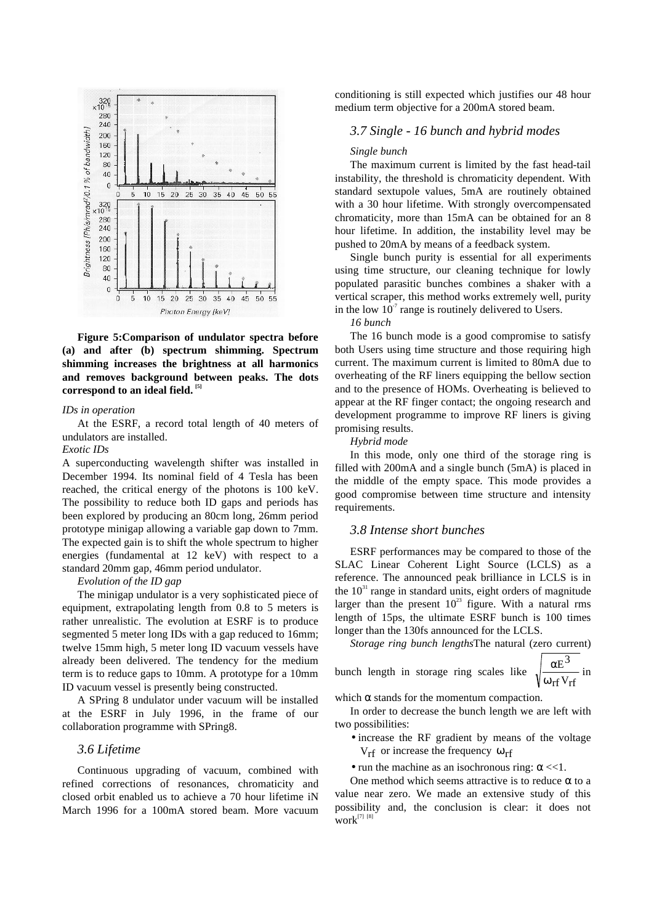

**Figure 5:Comparison of undulator spectra before (a) and after (b) spectrum shimming. Spectrum shimming increases the brightness at all harmonics and removes background between peaks. The dots correspond to an ideal field. [5]**

#### *IDs in operation*

At the ESRF, a record total length of 40 meters of undulators are installed.

#### *Exotic IDs*

A superconducting wavelength shifter was installed in December 1994. Its nominal field of 4 Tesla has been reached, the critical energy of the photons is 100 keV. The possibility to reduce both ID gaps and periods has been explored by producing an 80cm long, 26mm period prototype minigap allowing a variable gap down to 7mm. The expected gain is to shift the whole spectrum to higher energies (fundamental at 12 keV) with respect to a standard 20mm gap, 46mm period undulator.

#### *Evolution of the ID gap*

The minigap undulator is a very sophisticated piece of equipment, extrapolating length from 0.8 to 5 meters is rather unrealistic. The evolution at ESRF is to produce segmented 5 meter long IDs with a gap reduced to 16mm; twelve 15mm high, 5 meter long ID vacuum vessels have already been delivered. The tendency for the medium term is to reduce gaps to 10mm. A prototype for a 10mm ID vacuum vessel is presently being constructed.

A SPring 8 undulator under vacuum will be installed at the ESRF in July 1996, in the frame of our collaboration programme with SPring8.

## *3.6 Lifetime*

Continuous upgrading of vacuum, combined with refined corrections of resonances, chromaticity and closed orbit enabled us to achieve a 70 hour lifetime iN March 1996 for a 100mA stored beam. More vacuum conditioning is still expected which justifies our 48 hour medium term objective for a 200mA stored beam.

### *3.7 Single - 16 bunch and hybrid modes*

#### *Single bunch*

The maximum current is limited by the fast head-tail instability, the threshold is chromaticity dependent. With standard sextupole values, 5mA are routinely obtained with a 30 hour lifetime. With strongly overcompensated chromaticity, more than 15mA can be obtained for an 8 hour lifetime. In addition, the instability level may be pushed to 20mA by means of a feedback system.

Single bunch purity is essential for all experiments using time structure, our cleaning technique for lowly populated parasitic bunches combines a shaker with a vertical scraper, this method works extremely well, purity in the low  $10<sup>-7</sup>$  range is routinely delivered to Users.

*16 bunch*

The 16 bunch mode is a good compromise to satisfy both Users using time structure and those requiring high current. The maximum current is limited to 80mA due to overheating of the RF liners equipping the bellow section and to the presence of HOMs. Overheating is believed to appear at the RF finger contact; the ongoing research and development programme to improve RF liners is giving promising results.

*Hybrid mode*

In this mode, only one third of the storage ring is filled with 200mA and a single bunch (5mA) is placed in the middle of the empty space. This mode provides a good compromise between time structure and intensity requirements.

#### *3.8 Intense short bunches*

ESRF performances may be compared to those of the SLAC Linear Coherent Light Source (LCLS) as a reference. The announced peak brilliance in LCLS is in the  $10<sup>31</sup>$  range in standard units, eight orders of magnitude larger than the present  $10^{23}$  figure. With a natural rms length of 15ps, the ultimate ESRF bunch is 100 times longer than the 130fs announced for the LCLS.

*Storage ring bunch lengths*The natural (zero current)

bunch length in storage ring scales like 
$$
\sqrt{\frac{\alpha E^3}{\omega_{rf} V_{rf}}}
$$
 in

which  $\alpha$  stands for the momentum compaction.

In order to decrease the bunch length we are left with two possibilities:

- increase the RF gradient by means of the voltage  $V_{\rm rf}$  or increase the frequency  $\omega_{\rm rf}$
- run the machine as an isochronous ring:  $\alpha \ll 1$ .

One method which seems attractive is to reduce  $\alpha$  to a value near zero. We made an extensive study of this possibility and, the conclusion is clear: it does not  $work^{[7] [8]}$